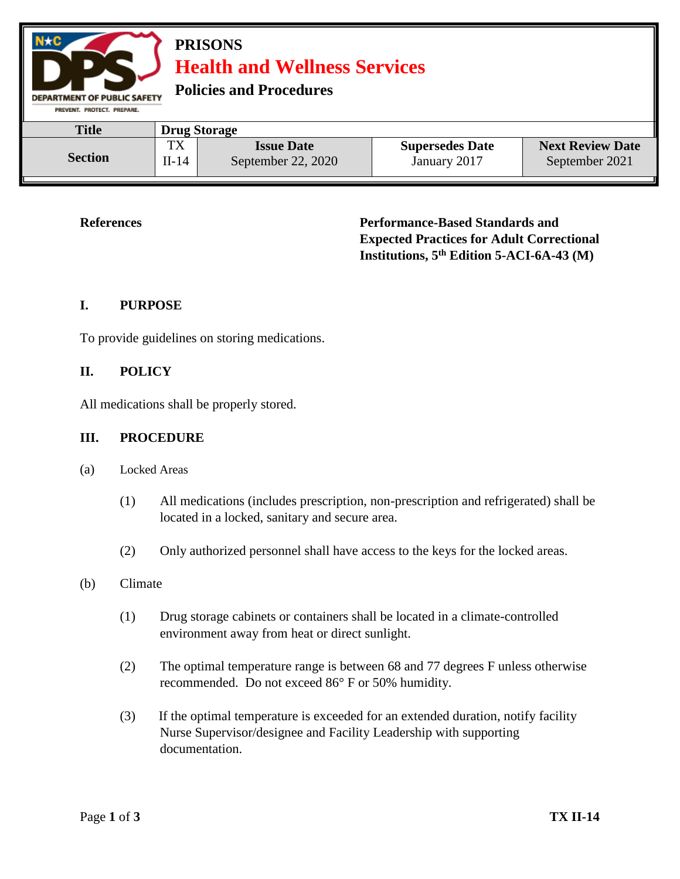

**References Performance-Based Standards and Expected Practices for Adult Correctional Institutions, 5th Edition 5-ACI-6A-43 (M)**

# **I. PURPOSE**

To provide guidelines on storing medications.

## **II. POLICY**

All medications shall be properly stored.

## **III. PROCEDURE**

- (a) Locked Areas
	- (1) All medications (includes prescription, non-prescription and refrigerated) shall be located in a locked, sanitary and secure area.
	- (2) Only authorized personnel shall have access to the keys for the locked areas.

## (b) Climate

- (1) Drug storage cabinets or containers shall be located in a climate-controlled environment away from heat or direct sunlight.
- (2) The optimal temperature range is between 68 and 77 degrees F unless otherwise recommended. Do not exceed 86° F or 50% humidity.
- (3) If the optimal temperature is exceeded for an extended duration, notify facility Nurse Supervisor/designee and Facility Leadership with supporting documentation.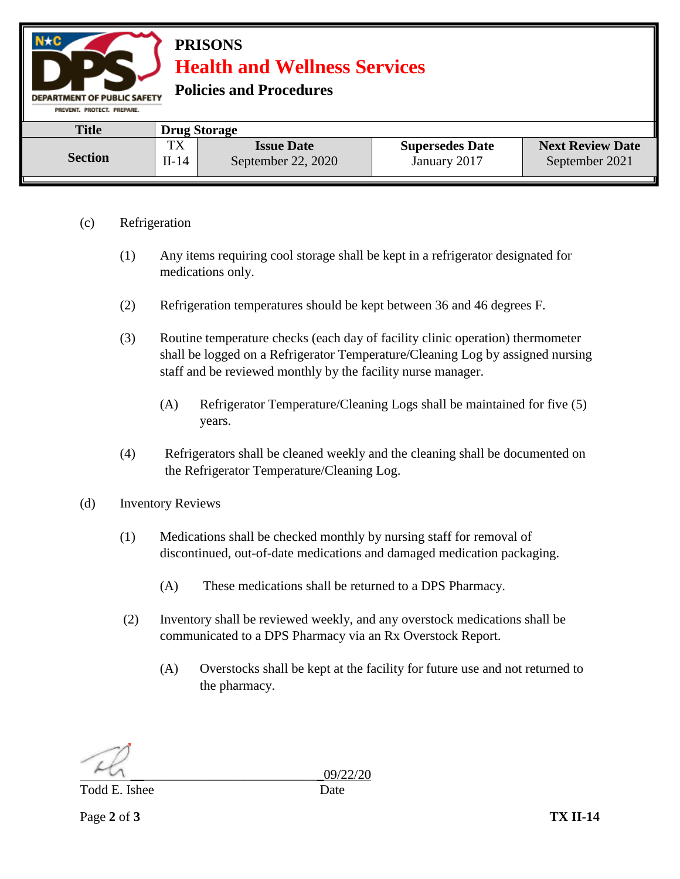

- (c) Refrigeration
	- (1) Any items requiring cool storage shall be kept in a refrigerator designated for medications only.
	- (2) Refrigeration temperatures should be kept between 36 and 46 degrees F.
	- (3) Routine temperature checks (each day of facility clinic operation) thermometer shall be logged on a Refrigerator Temperature/Cleaning Log by assigned nursing staff and be reviewed monthly by the facility nurse manager.
		- (A) Refrigerator Temperature/Cleaning Logs shall be maintained for five (5) years.
	- (4) Refrigerators shall be cleaned weekly and the cleaning shall be documented on the Refrigerator Temperature/Cleaning Log.
- (d) Inventory Reviews
	- (1) Medications shall be checked monthly by nursing staff for removal of discontinued, out-of-date medications and damaged medication packaging.
		- (A) These medications shall be returned to a DPS Pharmacy.
	- (2) Inventory shall be reviewed weekly, and any overstock medications shall be communicated to a DPS Pharmacy via an Rx Overstock Report.
		- (A) Overstocks shall be kept at the facility for future use and not returned to the pharmacy.

Todd E. Ishee Date

\_\_\_\_\_\_\_\_\_\_\_\_\_\_\_\_\_\_\_\_\_\_\_\_\_\_\_\_\_09/22/20

Page **2** of **3 TX II-14**